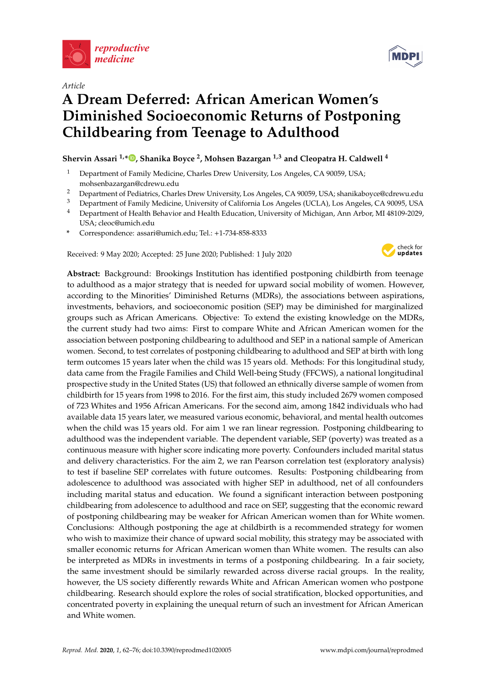

*Article*

# **A Dream Deferred: African American Women's Diminished Socioeconomic Returns of Postponing Childbearing from Teenage to Adulthood**

**Shervin Assari 1,[\\*](https://orcid.org/0000-0002-5054-6250) , Shanika Boyce <sup>2</sup> , Mohsen Bazargan 1,3 and Cleopatra H. Caldwell <sup>4</sup>**

- Department of Family Medicine, Charles Drew University, Los Angeles, CA 90059, USA; mohsenbazargan@cdrewu.edu
- <sup>2</sup> Department of Pediatrics, Charles Drew University, Los Angeles, CA 90059, USA; shanikaboyce@cdrewu.edu<br><sup>3</sup> Department of Eamily Medicine, University of California Los Angeles (UCLA), Los Angeles CA 90095, USA
- <sup>3</sup> Department of Family Medicine, University of California Los Angeles (UCLA), Los Angeles, CA 90095, USA<br><sup>4</sup> Department of Health Behavior and Health Education, University of Michigan, Ann Arbor, ML48109, 2029.
- <sup>4</sup> Department of Health Behavior and Health Education, University of Michigan, Ann Arbor, MI 48109-2029, USA; cleoc@umich.edu
- **\*** Correspondence: assari@umich.edu; Tel.: +1-734-858-8333

Received: 9 May 2020; Accepted: 25 June 2020; Published: 1 July 2020



**Abstract:** Background: Brookings Institution has identified postponing childbirth from teenage to adulthood as a major strategy that is needed for upward social mobility of women. However, according to the Minorities' Diminished Returns (MDRs), the associations between aspirations, investments, behaviors, and socioeconomic position (SEP) may be diminished for marginalized groups such as African Americans. Objective: To extend the existing knowledge on the MDRs, the current study had two aims: First to compare White and African American women for the association between postponing childbearing to adulthood and SEP in a national sample of American women. Second, to test correlates of postponing childbearing to adulthood and SEP at birth with long term outcomes 15 years later when the child was 15 years old. Methods: For this longitudinal study, data came from the Fragile Families and Child Well-being Study (FFCWS), a national longitudinal prospective study in the United States (US) that followed an ethnically diverse sample of women from childbirth for 15 years from 1998 to 2016. For the first aim, this study included 2679 women composed of 723 Whites and 1956 African Americans. For the second aim, among 1842 individuals who had available data 15 years later, we measured various economic, behavioral, and mental health outcomes when the child was 15 years old. For aim 1 we ran linear regression. Postponing childbearing to adulthood was the independent variable. The dependent variable, SEP (poverty) was treated as a continuous measure with higher score indicating more poverty. Confounders included marital status and delivery characteristics. For the aim 2, we ran Pearson correlation test (exploratory analysis) to test if baseline SEP correlates with future outcomes. Results: Postponing childbearing from adolescence to adulthood was associated with higher SEP in adulthood, net of all confounders including marital status and education. We found a significant interaction between postponing childbearing from adolescence to adulthood and race on SEP, suggesting that the economic reward of postponing childbearing may be weaker for African American women than for White women. Conclusions: Although postponing the age at childbirth is a recommended strategy for women who wish to maximize their chance of upward social mobility, this strategy may be associated with smaller economic returns for African American women than White women. The results can also be interpreted as MDRs in investments in terms of a postponing childbearing. In a fair society, the same investment should be similarly rewarded across diverse racial groups. In the reality, however, the US society differently rewards White and African American women who postpone childbearing. Research should explore the roles of social stratification, blocked opportunities, and concentrated poverty in explaining the unequal return of such an investment for African American and White women.

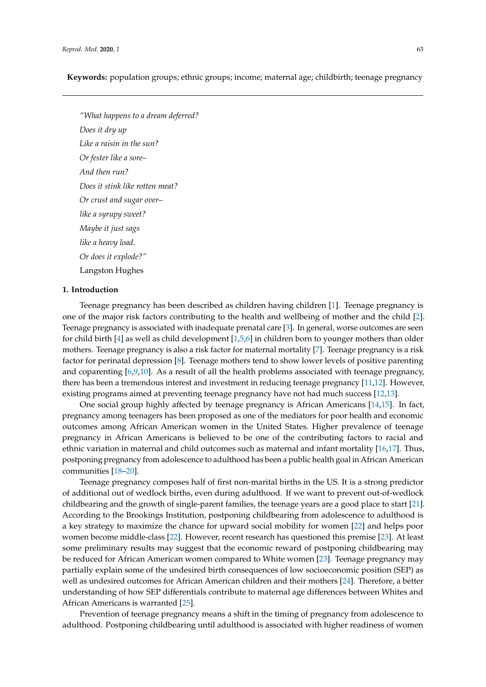**Keywords:** population groups; ethnic groups; income; maternal age; childbirth; teenage pregnancy

*"What happens to a dream deferred? Does it dry up Like a raisin in the sun? Or fester like a sore– And then run? Does it stink like rotten meat? Or crust and sugar over– like a syrupy sweet? Maybe it just sags like a heavy load. Or does it explode?"*

Langston Hughes

# **1. Introduction**

Teenage pregnancy has been described as children having children [\[1\]](#page-10-0). Teenage pregnancy is one of the major risk factors contributing to the health and wellbeing of mother and the child [\[2\]](#page-10-1). Teenage pregnancy is associated with inadequate prenatal care [\[3\]](#page-10-2). In general, worse outcomes are seen for child birth [\[4\]](#page-10-3) as well as child development [\[1](#page-10-0)[,5](#page-10-4)[,6\]](#page-11-0) in children born to younger mothers than older mothers. Teenage pregnancy is also a risk factor for maternal mortality [\[7\]](#page-11-1). Teenage pregnancy is a risk factor for perinatal depression [\[8\]](#page-11-2). Teenage mothers tend to show lower levels of positive parenting and coparenting [\[6](#page-11-0)[,9](#page-11-3)[,10\]](#page-11-4). As a result of all the health problems associated with teenage pregnancy, there has been a tremendous interest and investment in reducing teenage pregnancy [\[11](#page-11-5)[,12\]](#page-11-6). However, existing programs aimed at preventing teenage pregnancy have not had much success [\[12,](#page-11-6)[13\]](#page-11-7).

One social group highly affected by teenage pregnancy is African Americans [\[14,](#page-11-8)[15\]](#page-11-9). In fact, pregnancy among teenagers has been proposed as one of the mediators for poor health and economic outcomes among African American women in the United States. Higher prevalence of teenage pregnancy in African Americans is believed to be one of the contributing factors to racial and ethnic variation in maternal and child outcomes such as maternal and infant mortality [\[16](#page-11-10)[,17\]](#page-11-11). Thus, postponing pregnancy from adolescence to adulthood has been a public health goal in African American communities [\[18–](#page-11-12)[20\]](#page-11-13).

Teenage pregnancy composes half of first non-marital births in the US. It is a strong predictor of additional out of wedlock births, even during adulthood. If we want to prevent out-of-wedlock childbearing and the growth of single-parent families, the teenage years are a good place to start [\[21\]](#page-11-14). According to the Brookings Institution, postponing childbearing from adolescence to adulthood is a key strategy to maximize the chance for upward social mobility for women [\[22\]](#page-11-15) and helps poor women become middle-class [\[22\]](#page-11-15). However, recent research has questioned this premise [\[23\]](#page-11-16). At least some preliminary results may suggest that the economic reward of postponing childbearing may be reduced for African American women compared to White women [\[23\]](#page-11-16). Teenage pregnancy may partially explain some of the undesired birth consequences of low socioeconomic position (SEP) as well as undesired outcomes for African American children and their mothers [\[24\]](#page-11-17). Therefore, a better understanding of how SEP differentials contribute to maternal age differences between Whites and African Americans is warranted [\[25\]](#page-11-18).

Prevention of teenage pregnancy means a shift in the timing of pregnancy from adolescence to adulthood. Postponing childbearing until adulthood is associated with higher readiness of women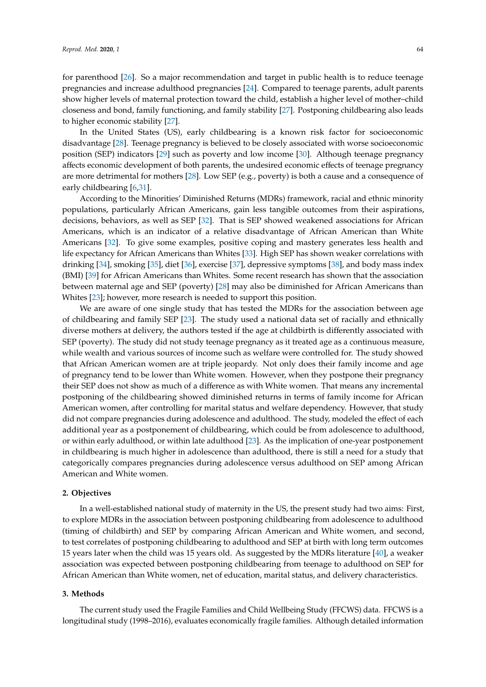for parenthood [\[26\]](#page-11-19). So a major recommendation and target in public health is to reduce teenage pregnancies and increase adulthood pregnancies [\[24\]](#page-11-17). Compared to teenage parents, adult parents show higher levels of maternal protection toward the child, establish a higher level of mother–child closeness and bond, family functioning, and family stability [\[27\]](#page-11-20). Postponing childbearing also leads to higher economic stability [\[27\]](#page-11-20).

In the United States (US), early childbearing is a known risk factor for socioeconomic disadvantage [\[28\]](#page-11-21). Teenage pregnancy is believed to be closely associated with worse socioeconomic position (SEP) indicators [\[29\]](#page-11-22) such as poverty and low income [\[30\]](#page-11-23). Although teenage pregnancy affects economic development of both parents, the undesired economic effects of teenage pregnancy are more detrimental for mothers [\[28\]](#page-11-21). Low SEP (e.g., poverty) is both a cause and a consequence of early childbearing [\[6](#page-11-0)[,31\]](#page-12-0).

According to the Minorities' Diminished Returns (MDRs) framework, racial and ethnic minority populations, particularly African Americans, gain less tangible outcomes from their aspirations, decisions, behaviors, as well as SEP [\[32\]](#page-12-1). That is SEP showed weakened associations for African Americans, which is an indicator of a relative disadvantage of African American than White Americans [\[32\]](#page-12-1). To give some examples, positive coping and mastery generates less health and life expectancy for African Americans than Whites [\[33\]](#page-12-2). High SEP has shown weaker correlations with drinking [\[34\]](#page-12-3), smoking [\[35\]](#page-12-4), diet [\[36\]](#page-12-5), exercise [\[37\]](#page-12-6), depressive symptoms [\[38\]](#page-12-7), and body mass index (BMI) [\[39\]](#page-12-8) for African Americans than Whites. Some recent research has shown that the association between maternal age and SEP (poverty) [\[28\]](#page-11-21) may also be diminished for African Americans than Whites [\[23\]](#page-11-16); however, more research is needed to support this position.

We are aware of one single study that has tested the MDRs for the association between age of childbearing and family SEP [\[23\]](#page-11-16). The study used a national data set of racially and ethnically diverse mothers at delivery, the authors tested if the age at childbirth is differently associated with SEP (poverty). The study did not study teenage pregnancy as it treated age as a continuous measure, while wealth and various sources of income such as welfare were controlled for. The study showed that African American women are at triple jeopardy. Not only does their family income and age of pregnancy tend to be lower than White women. However, when they postpone their pregnancy their SEP does not show as much of a difference as with White women. That means any incremental postponing of the childbearing showed diminished returns in terms of family income for African American women, after controlling for marital status and welfare dependency. However, that study did not compare pregnancies during adolescence and adulthood. The study, modeled the effect of each additional year as a postponement of childbearing, which could be from adolescence to adulthood, or within early adulthood, or within late adulthood [\[23\]](#page-11-16). As the implication of one-year postponement in childbearing is much higher in adolescence than adulthood, there is still a need for a study that categorically compares pregnancies during adolescence versus adulthood on SEP among African American and White women.

## **2. Objectives**

In a well-established national study of maternity in the US, the present study had two aims: First, to explore MDRs in the association between postponing childbearing from adolescence to adulthood (timing of childbirth) and SEP by comparing African American and White women, and second, to test correlates of postponing childbearing to adulthood and SEP at birth with long term outcomes 15 years later when the child was 15 years old. As suggested by the MDRs literature [\[40\]](#page-12-9), a weaker association was expected between postponing childbearing from teenage to adulthood on SEP for African American than White women, net of education, marital status, and delivery characteristics.

# **3. Methods**

The current study used the Fragile Families and Child Wellbeing Study (FFCWS) data. FFCWS is a longitudinal study (1998–2016), evaluates economically fragile families. Although detailed information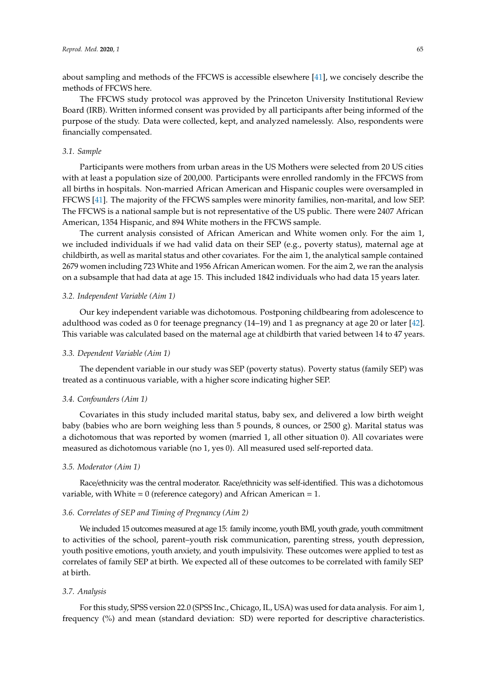about sampling and methods of the FFCWS is accessible elsewhere [\[41\]](#page-12-10), we concisely describe the methods of FFCWS here.

The FFCWS study protocol was approved by the Princeton University Institutional Review Board (IRB). Written informed consent was provided by all participants after being informed of the purpose of the study. Data were collected, kept, and analyzed namelessly. Also, respondents were financially compensated.

## *3.1. Sample*

Participants were mothers from urban areas in the US Mothers were selected from 20 US cities with at least a population size of 200,000. Participants were enrolled randomly in the FFCWS from all births in hospitals. Non-married African American and Hispanic couples were oversampled in FFCWS [\[41\]](#page-12-10). The majority of the FFCWS samples were minority families, non-marital, and low SEP. The FFCWS is a national sample but is not representative of the US public. There were 2407 African American, 1354 Hispanic, and 894 White mothers in the FFCWS sample.

The current analysis consisted of African American and White women only. For the aim 1, we included individuals if we had valid data on their SEP (e.g., poverty status), maternal age at childbirth, as well as marital status and other covariates. For the aim 1, the analytical sample contained 2679 women including 723 White and 1956 African American women. For the aim 2, we ran the analysis on a subsample that had data at age 15. This included 1842 individuals who had data 15 years later.

## *3.2. Independent Variable (Aim 1)*

Our key independent variable was dichotomous. Postponing childbearing from adolescence to adulthood was coded as 0 for teenage pregnancy (14–19) and 1 as pregnancy at age 20 or later [\[42\]](#page-12-11). This variable was calculated based on the maternal age at childbirth that varied between 14 to 47 years.

## *3.3. Dependent Variable (Aim 1)*

The dependent variable in our study was SEP (poverty status). Poverty status (family SEP) was treated as a continuous variable, with a higher score indicating higher SEP.

## *3.4. Confounders (Aim 1)*

Covariates in this study included marital status, baby sex, and delivered a low birth weight baby (babies who are born weighing less than 5 pounds, 8 ounces, or 2500 g). Marital status was a dichotomous that was reported by women (married 1, all other situation 0). All covariates were measured as dichotomous variable (no 1, yes 0). All measured used self-reported data.

## *3.5. Moderator (Aim 1)*

Race/ethnicity was the central moderator. Race/ethnicity was self-identified. This was a dichotomous variable, with White =  $0$  (reference category) and African American = 1.

# *3.6. Correlates of SEP and Timing of Pregnancy (Aim 2)*

We included 15 outcomes measured at age 15: family income, youth BMI, youth grade, youth commitment to activities of the school, parent–youth risk communication, parenting stress, youth depression, youth positive emotions, youth anxiety, and youth impulsivity. These outcomes were applied to test as correlates of family SEP at birth. We expected all of these outcomes to be correlated with family SEP at birth.

## *3.7. Analysis*

For this study, SPSS version 22.0 (SPSS Inc., Chicago, IL, USA) was used for data analysis. For aim 1, frequency (%) and mean (standard deviation: SD) were reported for descriptive characteristics.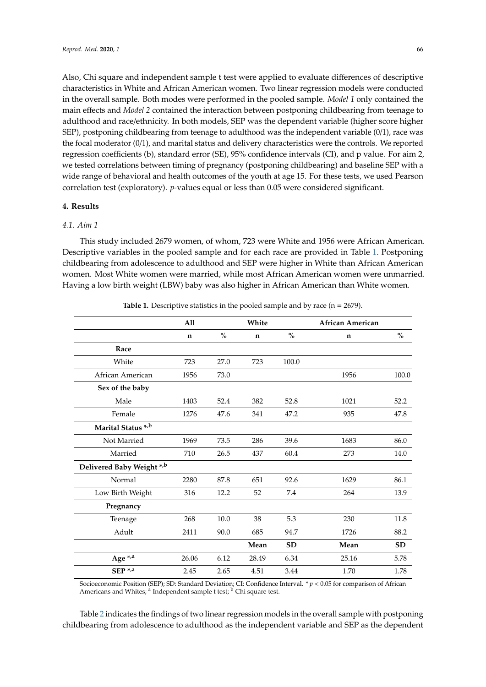Also, Chi square and independent sample t test were applied to evaluate differences of descriptive characteristics in White and African American women. Two linear regression models were conducted in the overall sample. Both modes were performed in the pooled sample. *Model 1* only contained the main effects and *Model 2* contained the interaction between postponing childbearing from teenage to adulthood and race/ethnicity. In both models, SEP was the dependent variable (higher score higher SEP), postponing childbearing from teenage to adulthood was the independent variable (0/1), race was the focal moderator (0/1), and marital status and delivery characteristics were the controls. We reported regression coefficients (b), standard error (SE), 95% confidence intervals (CI), and p value. For aim 2, we tested correlations between timing of pregnancy (postponing childbearing) and baseline SEP with a wide range of behavioral and health outcomes of the youth at age 15. For these tests, we used Pearson correlation test (exploratory). *p*-values equal or less than 0.05 were considered significant.

## **4. Results**

## *4.1. Aim 1*

This study included 2679 women, of whom, 723 were White and 1956 were African American. Descriptive variables in the pooled sample and for each race are provided in Table [1.](#page-4-0) Postponing childbearing from adolescence to adulthood and SEP were higher in White than African American women. Most White women were married, while most African American women were unmarried. Having a low birth weight (LBW) baby was also higher in African American than White women.

<span id="page-4-0"></span>

|                           | A11         |      | White       |           | African American |           |
|---------------------------|-------------|------|-------------|-----------|------------------|-----------|
|                           | $\mathbf n$ | $\%$ | $\mathbf n$ | $\%$      | $\mathbf n$      | $\%$      |
| Race                      |             |      |             |           |                  |           |
| White                     | 723         | 27.0 | 723         | 100.0     |                  |           |
| African American          | 1956        | 73.0 |             |           | 1956             | 100.0     |
| Sex of the baby           |             |      |             |           |                  |           |
| Male                      | 1403        | 52.4 | 382         | 52.8      | 1021             | 52.2      |
| Female                    | 1276        | 47.6 | 341         | 47.2      | 935              | 47.8      |
| Marital Status *,b        |             |      |             |           |                  |           |
| Not Married               | 1969        | 73.5 | 286         | 39.6      | 1683             | 86.0      |
| Married                   | 710         | 26.5 | 437         | 60.4      | 273              | 14.0      |
| Delivered Baby Weight *,b |             |      |             |           |                  |           |
| Normal                    | 2280        | 87.8 | 651         | 92.6      | 1629             | 86.1      |
| Low Birth Weight          | 316         | 12.2 | 52          | 7.4       | 264              | 13.9      |
| Pregnancy                 |             |      |             |           |                  |           |
| Teenage                   | 268         | 10.0 | 38          | 5.3       | 230              | 11.8      |
| Adult                     | 2411        | 90.0 | 685         | 94.7      | 1726             | 88.2      |
|                           |             |      | Mean        | <b>SD</b> | Mean             | <b>SD</b> |
| Age *,a                   | 26.06       | 6.12 | 28.49       | 6.34      | 25.16            | 5.78      |
| SEP <sup>*,a</sup>        | 2.45        | 2.65 | 4.51        | 3.44      | 1.70             | 1.78      |

| Table 1. Descriptive statistics in the pooled sample and by race $(n = 2679)$ . |  |  |  |
|---------------------------------------------------------------------------------|--|--|--|
|---------------------------------------------------------------------------------|--|--|--|

Socioeconomic Position (SEP); SD: Standard Deviation; CI: Confidence Interval. \* *p* < 0.05 for comparison of African Americans and Whites; <sup>a</sup> Independent sample t test; <sup>b</sup> Chi square test.

Table [2](#page-5-0) indicates the findings of two linear regression models in the overall sample with postponing childbearing from adolescence to adulthood as the independent variable and SEP as the dependent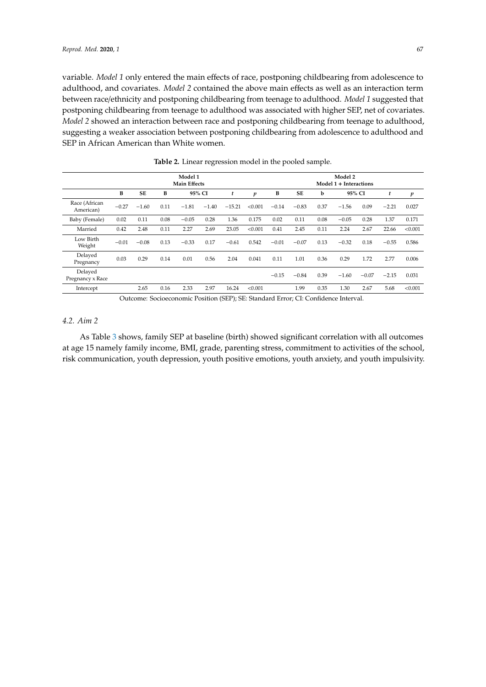variable. *Model 1* only entered the main effects of race, postponing childbearing from adolescence to adulthood, and covariates. *Model 2* contained the above main effects as well as an interaction term between race/ethnicity and postponing childbearing from teenage to adulthood. *Model 1* suggested that postponing childbearing from teenage to adulthood was associated with higher SEP, net of covariates. *Model 2* showed an interaction between race and postponing childbearing from teenage to adulthood, suggesting a weaker association between postponing childbearing from adolescence to adulthood and SEP in African American than White women.

<span id="page-5-0"></span>

|                             |                |           |      | Model 1<br><b>Main Effects</b> |         |                   | Model 2<br>Model 1 + Interactions |              |               |          |            |         |         |                  |  |  |
|-----------------------------|----------------|-----------|------|--------------------------------|---------|-------------------|-----------------------------------|--------------|---------------|----------|------------|---------|---------|------------------|--|--|
|                             | В              | <b>SE</b> | В    |                                | 95% CI  |                   | p                                 | B            | <b>SE</b>     | b        |            | 95% CI  | t       | $\boldsymbol{p}$ |  |  |
| Race (African<br>American)  | $-0.27$        | $-1.60$   | 0.11 | $-1.81$                        | $-1.40$ | $-15.21$          | < 0.001                           | $-0.14$      | $-0.83$       | 0.37     | $-1.56$    | 0.09    | $-2.21$ | 0.027            |  |  |
| Baby (Female)               | 0.02           | 0.11      | 0.08 | $-0.05$                        | 0.28    | 1.36              | 0.175                             | 0.02         | 0.11          | 0.08     | $-0.05$    | 0.28    | 1.37    | 0.171            |  |  |
| Married                     | 0.42           | 2.48      | 0.11 | 2.27                           | 2.69    | 23.05             | < 0.001                           | 0.41         | 2.45          | 0.11     | 2.24       | 2.67    | 22.66   | < 0.001          |  |  |
| Low Birth<br>Weight         | $-0.01$        | $-0.08$   | 0.13 | $-0.33$                        | 0.17    | $-0.61$           | 0.542                             | $-0.01$      | $-0.07$       | 0.13     | $-0.32$    | 0.18    | $-0.55$ | 0.586            |  |  |
| Delayed<br>Pregnancy        | 0.03           | 0.29      | 0.14 | 0.01                           | 0.56    | 2.04              | 0.041                             | 0.11         | 1.01          | 0.36     | 0.29       | 1.72    | 2.77    | 0.006            |  |  |
| Delayed<br>Pregnancy x Race |                |           |      |                                |         |                   |                                   | $-0.15$      | $-0.84$       | 0.39     | $-1.60$    | $-0.07$ | $-2.15$ | 0.031            |  |  |
| Intercept                   |                | 2.65      | 0.16 | 2.33                           | 2.97    | 16.24             | < 0.001                           |              | 1.99          | 0.35     | 1.30       | 2.67    | 5.68    | < 0.001          |  |  |
|                             | $\sim$ $\cdot$ | $\sim$    |      | $\cdot$ $\cdot$                | $\cdot$ | $(2.75)$ $(2.75)$ |                                   | $\mathbf{1}$ | $\cap$ $\cap$ | $\sim$ 1 | <b>T</b> . | - 1     |         |                  |  |  |

**Table 2.** Linear regression model in the pooled sample.

Outcome: Socioeconomic Position (SEP); SE: Standard Error; CI: Confidence Interval.

# *4.2. Aim 2*

As Table [3](#page-6-0) shows, family SEP at baseline (birth) showed significant correlation with all outcomes at age 15 namely family income, BMI, grade, parenting stress, commitment to activities of the school, risk communication, youth depression, youth positive emotions, youth anxiety, and youth impulsivity.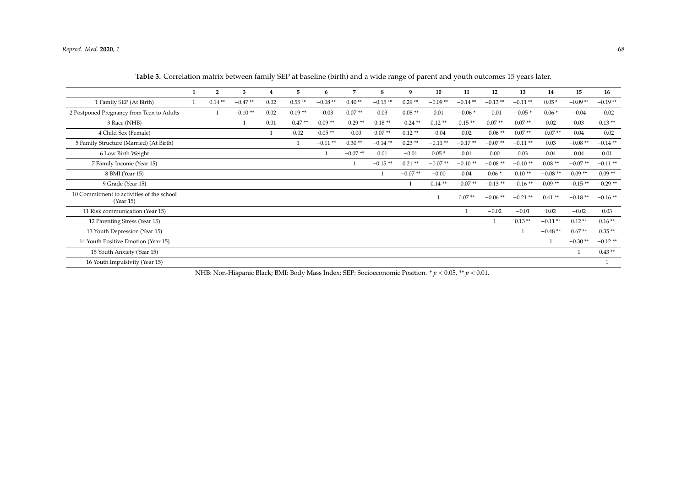|                                                        | $\overline{2}$ | 3         |      | 5         | 6         |           | 8         | 9          | 10        | 11        | 12         | 13         | 14        | 15        | 16        |
|--------------------------------------------------------|----------------|-----------|------|-----------|-----------|-----------|-----------|------------|-----------|-----------|------------|------------|-----------|-----------|-----------|
| 1 Family SEP (At Birth)                                | $0.14**$       | $-0.47**$ | 0.02 | $0.55**$  | $-0.08**$ | $0.40**$  | $-0.15**$ | $0.29**$   | $-0.09**$ | $-0.14**$ | $-0.13**$  | $-0.11**$  | $0.05*$   | $-0.09**$ | $-0.19**$ |
| 2 Postponed Pregnancy from Teen to Adults              |                | $-0.10**$ | 0.02 | $0.19**$  | $-0.03$   | $0.07**$  | 0.03      | $0.08**$   | 0.01      | $-0.06*$  | $-0.01$    | $-0.05*$   | $0.06*$   | $-0.04$   | $-0.02$   |
| 3 Race (NHB)                                           |                |           | 0.01 | $-0.47**$ | $0.09**$  | $-0.29**$ | $0.18**$  | $-0.24$ ** | $0.12**$  | $0.15**$  | $0.07**$   | $0.07**$   | 0.02      | 0.03      | $0.13**$  |
| 4 Child Sex (Female)                                   |                |           |      | 0.02      | $0.05**$  | $-0.00$   | $0.07**$  | $0.12**$   | $-0.04$   | 0.02      | $-0.06$ ** | $0.07**$   | $-0.07**$ | 0.04      | $-0.02$   |
| 5 Family Structure (Married) (At Birth)                |                |           |      |           | $-0.11**$ | $0.30**$  | $-0.14**$ | $0.23**$   | $-0.11**$ | $-0.17**$ | $-0.07**$  | $-0.11**$  | 0.03      | $-0.08**$ | $-0.14**$ |
| 6 Low Birth Weight                                     |                |           |      |           |           | $-0.07**$ | 0.01      | $-0.01$    | $0.05*$   | 0.01      | 0.00       | 0.03       | 0.04      | 0.04      | 0.01      |
| 7 Family Income (Year 15)                              |                |           |      |           |           |           | $-0.15**$ | $0.21**$   | $-0.07**$ | $-0.10**$ | $-0.08**$  | $-0.10**$  | $0.08**$  | $-0.07**$ | $-0.11**$ |
| 8 BMI (Year 15)                                        |                |           |      |           |           |           |           | $-0.07**$  | $-0.00$   | 0.04      | $0.06*$    | $0.10**$   | $-0.08**$ | $0.09**$  | $0.09**$  |
| 9 Grade (Year 15)                                      |                |           |      |           |           |           |           |            | $0.14**$  | $-0.07**$ | $-0.13**$  | $-0.16**$  | $0.09**$  | $-0.15**$ | $-0.29**$ |
| 10 Commitment to activities of the school<br>(Year 15) |                |           |      |           |           |           |           |            |           | $0.07**$  | $-0.06**$  | $-0.21$ ** | $0.41**$  | $-0.18**$ | $-0.16**$ |
| 11 Risk communication (Year 15)                        |                |           |      |           |           |           |           |            |           |           | $-0.02$    | $-0.01$    | 0.02      | $-0.02$   | 0.03      |
| 12 Parenting Stress (Year 15)                          |                |           |      |           |           |           |           |            |           |           |            | $0.13**$   | $-0.11**$ | $0.12**$  | $0.16**$  |
| 13 Youth Depression (Year 15)                          |                |           |      |           |           |           |           |            |           |           |            |            | $-0.48**$ | $0.67**$  | $0.35**$  |
| 14 Youth Positive Emotion (Year 15)                    |                |           |      |           |           |           |           |            |           |           |            |            |           | $-0.30**$ | $-0.12**$ |
| 15 Youth Anxiety (Year 15)                             |                |           |      |           |           |           |           |            |           |           |            |            |           |           | $0.43**$  |
| 16 Youth Impulsivity (Year 15)                         |                |           |      |           |           |           |           |            |           |           |            |            |           |           |           |

| Table 3. Correlation matrix between family SEP at baseline (birth) and a wide range of parent and youth outcomes 15 years later. |  |  |  |  |  |  |  |  |
|----------------------------------------------------------------------------------------------------------------------------------|--|--|--|--|--|--|--|--|
|                                                                                                                                  |  |  |  |  |  |  |  |  |

<span id="page-6-0"></span>NHB: Non-Hispanic Black; BMI: Body Mass Index; SEP: Socioeconomic Position. \* *p* < 0.05, \*\* *p* < 0.01.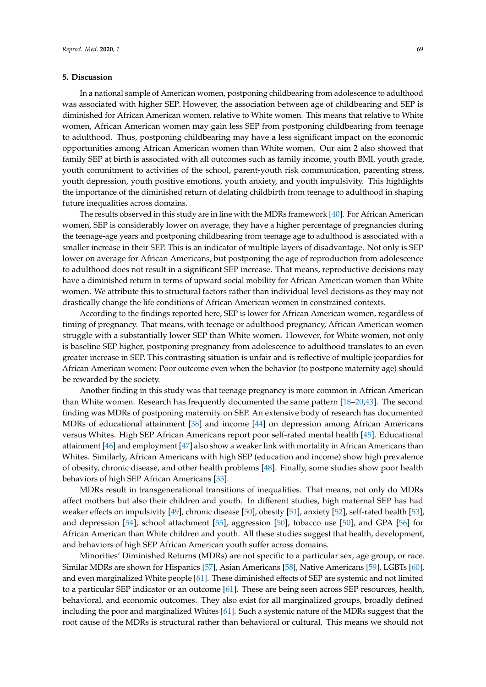## **5. Discussion**

In a national sample of American women, postponing childbearing from adolescence to adulthood was associated with higher SEP. However, the association between age of childbearing and SEP is diminished for African American women, relative to White women. This means that relative to White women, African American women may gain less SEP from postponing childbearing from teenage to adulthood. Thus, postponing childbearing may have a less significant impact on the economic opportunities among African American women than White women. Our aim 2 also showed that family SEP at birth is associated with all outcomes such as family income, youth BMI, youth grade, youth commitment to activities of the school, parent-youth risk communication, parenting stress, youth depression, youth positive emotions, youth anxiety, and youth impulsivity. This highlights the importance of the diminished return of delating childbirth from teenage to adulthood in shaping future inequalities across domains.

The results observed in this study are in line with the MDRs framework [\[40\]](#page-12-9). For African American women, SEP is considerably lower on average, they have a higher percentage of pregnancies during the teenage-age years and postponing childbearing from teenage age to adulthood is associated with a smaller increase in their SEP. This is an indicator of multiple layers of disadvantage. Not only is SEP lower on average for African Americans, but postponing the age of reproduction from adolescence to adulthood does not result in a significant SEP increase. That means, reproductive decisions may have a diminished return in terms of upward social mobility for African American women than White women. We attribute this to structural factors rather than individual level decisions as they may not drastically change the life conditions of African American women in constrained contexts.

According to the findings reported here, SEP is lower for African American women, regardless of timing of pregnancy. That means, with teenage or adulthood pregnancy, African American women struggle with a substantially lower SEP than White women. However, for White women, not only is baseline SEP higher, postponing pregnancy from adolescence to adulthood translates to an even greater increase in SEP. This contrasting situation is unfair and is reflective of multiple jeopardies for African American women: Poor outcome even when the behavior (to postpone maternity age) should be rewarded by the society.

Another finding in this study was that teenage pregnancy is more common in African American than White women. Research has frequently documented the same pattern [\[18](#page-11-12)[–20](#page-11-13)[,43\]](#page-12-12). The second finding was MDRs of postponing maternity on SEP. An extensive body of research has documented MDRs of educational attainment [\[38\]](#page-12-7) and income [\[44\]](#page-12-13) on depression among African Americans versus Whites. High SEP African Americans report poor self-rated mental health [\[45\]](#page-12-14). Educational attainment [\[46\]](#page-12-15) and employment [\[47\]](#page-12-16) also show a weaker link with mortality in African Americans than Whites. Similarly, African Americans with high SEP (education and income) show high prevalence of obesity, chronic disease, and other health problems [\[48\]](#page-12-17). Finally, some studies show poor health behaviors of high SEP African Americans [\[35\]](#page-12-4).

MDRs result in transgenerational transitions of inequalities. That means, not only do MDRs affect mothers but also their children and youth. In different studies, high maternal SEP has had weaker effects on impulsivity [\[49\]](#page-12-18), chronic disease [\[50\]](#page-12-19), obesity [\[51\]](#page-12-20), anxiety [\[52\]](#page-12-21), self-rated health [\[53\]](#page-12-22), and depression [\[54\]](#page-12-23), school attachment [\[55\]](#page-12-24), aggression [\[50\]](#page-12-19), tobacco use [\[50\]](#page-12-19), and GPA [\[56\]](#page-13-0) for African American than White children and youth. All these studies suggest that health, development, and behaviors of high SEP African American youth suffer across domains.

Minorities' Diminished Returns (MDRs) are not specific to a particular sex, age group, or race. Similar MDRs are shown for Hispanics [\[57\]](#page-13-1), Asian Americans [\[58\]](#page-13-2), Native Americans [\[59\]](#page-13-3), LGBTs [\[60\]](#page-13-4), and even marginalized White people [\[61\]](#page-13-5). These diminished effects of SEP are systemic and not limited to a particular SEP indicator or an outcome [\[61\]](#page-13-5). These are being seen across SEP resources, health, behavioral, and economic outcomes. They also exist for all marginalized groups, broadly defined including the poor and marginalized Whites [\[61\]](#page-13-5). Such a systemic nature of the MDRs suggest that the root cause of the MDRs is structural rather than behavioral or cultural. This means we should not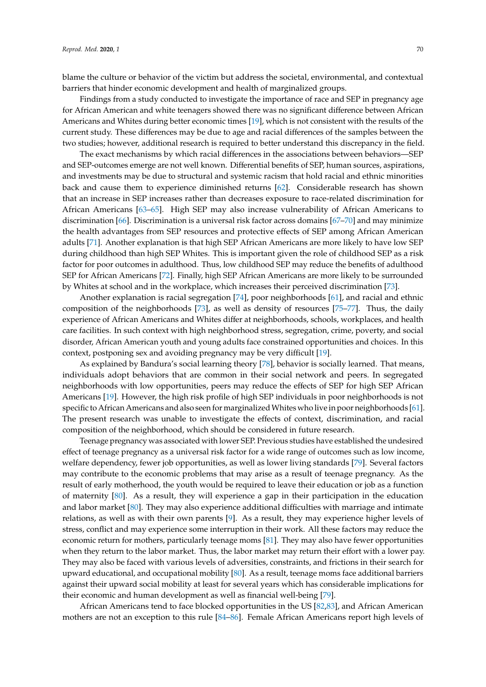blame the culture or behavior of the victim but address the societal, environmental, and contextual barriers that hinder economic development and health of marginalized groups.

Findings from a study conducted to investigate the importance of race and SEP in pregnancy age for African American and white teenagers showed there was no significant difference between African Americans and Whites during better economic times [\[19\]](#page-11-24), which is not consistent with the results of the current study. These differences may be due to age and racial differences of the samples between the two studies; however, additional research is required to better understand this discrepancy in the field.

The exact mechanisms by which racial differences in the associations between behaviors—SEP and SEP-outcomes emerge are not well known. Differential benefits of SEP, human sources, aspirations, and investments may be due to structural and systemic racism that hold racial and ethnic minorities back and cause them to experience diminished returns [\[62\]](#page-13-6). Considerable research has shown that an increase in SEP increases rather than decreases exposure to race-related discrimination for African Americans [\[63–](#page-13-7)[65\]](#page-13-8). High SEP may also increase vulnerability of African Americans to discrimination [\[66\]](#page-13-9). Discrimination is a universal risk factor across domains [\[67](#page-13-10)[–70\]](#page-13-11) and may minimize the health advantages from SEP resources and protective effects of SEP among African American adults [\[71\]](#page-13-12). Another explanation is that high SEP African Americans are more likely to have low SEP during childhood than high SEP Whites. This is important given the role of childhood SEP as a risk factor for poor outcomes in adulthood. Thus, low childhood SEP may reduce the benefits of adulthood SEP for African Americans [\[72\]](#page-13-13). Finally, high SEP African Americans are more likely to be surrounded by Whites at school and in the workplace, which increases their perceived discrimination [\[73\]](#page-13-14).

Another explanation is racial segregation [\[74\]](#page-13-15), poor neighborhoods [\[61\]](#page-13-5), and racial and ethnic composition of the neighborhoods [\[73\]](#page-13-14), as well as density of resources [\[75–](#page-13-16)[77\]](#page-13-17). Thus, the daily experience of African Americans and Whites differ at neighborhoods, schools, workplaces, and health care facilities. In such context with high neighborhood stress, segregation, crime, poverty, and social disorder, African American youth and young adults face constrained opportunities and choices. In this context, postponing sex and avoiding pregnancy may be very difficult [\[19\]](#page-11-24).

As explained by Bandura's social learning theory [\[78\]](#page-14-0), behavior is socially learned. That means, individuals adopt behaviors that are common in their social network and peers. In segregated neighborhoods with low opportunities, peers may reduce the effects of SEP for high SEP African Americans [\[19\]](#page-11-24). However, the high risk profile of high SEP individuals in poor neighborhoods is not specific to African Americans and also seen for marginalized Whites who live in poor neighborhoods [\[61\]](#page-13-5). The present research was unable to investigate the effects of context, discrimination, and racial composition of the neighborhood, which should be considered in future research.

Teenage pregnancy was associated with lower SEP. Previous studies have established the undesired effect of teenage pregnancy as a universal risk factor for a wide range of outcomes such as low income, welfare dependency, fewer job opportunities, as well as lower living standards [\[79\]](#page-14-1). Several factors may contribute to the economic problems that may arise as a result of teenage pregnancy. As the result of early motherhood, the youth would be required to leave their education or job as a function of maternity [\[80\]](#page-14-2). As a result, they will experience a gap in their participation in the education and labor market [\[80\]](#page-14-2). They may also experience additional difficulties with marriage and intimate relations, as well as with their own parents [\[9\]](#page-11-3). As a result, they may experience higher levels of stress, conflict and may experience some interruption in their work. All these factors may reduce the economic return for mothers, particularly teenage moms [\[81\]](#page-14-3). They may also have fewer opportunities when they return to the labor market. Thus, the labor market may return their effort with a lower pay. They may also be faced with various levels of adversities, constraints, and frictions in their search for upward educational, and occupational mobility [\[80\]](#page-14-2). As a result, teenage moms face additional barriers against their upward social mobility at least for several years which has considerable implications for their economic and human development as well as financial well-being [\[79\]](#page-14-1).

African Americans tend to face blocked opportunities in the US [\[82](#page-14-4)[,83\]](#page-14-5), and African American mothers are not an exception to this rule [\[84](#page-14-6)[–86\]](#page-14-7). Female African Americans report high levels of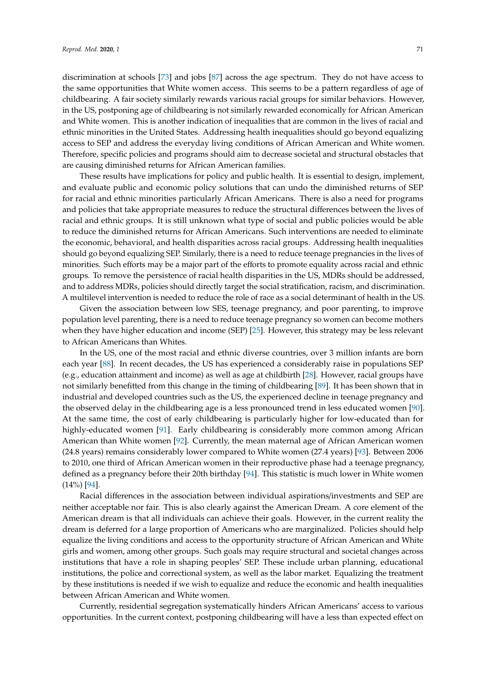discrimination at schools [\[73\]](#page-13-14) and jobs [\[87\]](#page-14-8) across the age spectrum. They do not have access to the same opportunities that White women access. This seems to be a pattern regardless of age of childbearing. A fair society similarly rewards various racial groups for similar behaviors. However, in the US, postponing age of childbearing is not similarly rewarded economically for African American and White women. This is another indication of inequalities that are common in the lives of racial and ethnic minorities in the United States. Addressing health inequalities should go beyond equalizing access to SEP and address the everyday living conditions of African American and White women. Therefore, specific policies and programs should aim to decrease societal and structural obstacles that are causing diminished returns for African American families.

These results have implications for policy and public health. It is essential to design, implement, and evaluate public and economic policy solutions that can undo the diminished returns of SEP for racial and ethnic minorities particularly African Americans. There is also a need for programs and policies that take appropriate measures to reduce the structural differences between the lives of racial and ethnic groups. It is still unknown what type of social and public policies would be able to reduce the diminished returns for African Americans. Such interventions are needed to eliminate the economic, behavioral, and health disparities across racial groups. Addressing health inequalities should go beyond equalizing SEP. Similarly, there is a need to reduce teenage pregnancies in the lives of minorities. Such efforts may be a major part of the efforts to promote equality across racial and ethnic groups. To remove the persistence of racial health disparities in the US, MDRs should be addressed, and to address MDRs, policies should directly target the social stratification, racism, and discrimination. A multilevel intervention is needed to reduce the role of race as a social determinant of health in the US.

Given the association between low SES, teenage pregnancy, and poor parenting, to improve population level parenting, there is a need to reduce teenage pregnancy so women can become mothers when they have higher education and income (SEP) [\[25\]](#page-11-18). However, this strategy may be less relevant to African Americans than Whites.

In the US, one of the most racial and ethnic diverse countries, over 3 million infants are born each year [\[88\]](#page-14-9). In recent decades, the US has experienced a considerably raise in populations SEP (e.g., education attainment and income) as well as age at childbirth [\[28\]](#page-11-21). However, racial groups have not similarly benefitted from this change in the timing of childbearing [\[89\]](#page-14-10). It has been shown that in industrial and developed countries such as the US, the experienced decline in teenage pregnancy and the observed delay in the childbearing age is a less pronounced trend in less educated women [\[90\]](#page-14-11). At the same time, the cost of early childbearing is particularly higher for low-educated than for highly-educated women [\[91\]](#page-14-12). Early childbearing is considerably more common among African American than White women [\[92\]](#page-14-13). Currently, the mean maternal age of African American women (24.8 years) remains considerably lower compared to White women (27.4 years) [\[93\]](#page-14-14). Between 2006 to 2010, one third of African American women in their reproductive phase had a teenage pregnancy, defined as a pregnancy before their 20th birthday [\[94\]](#page-14-15). This statistic is much lower in White women (14%) [\[94\]](#page-14-15).

Racial differences in the association between individual aspirations/investments and SEP are neither acceptable nor fair. This is also clearly against the American Dream. A core element of the American dream is that all individuals can achieve their goals. However, in the current reality the dream is deferred for a large proportion of Americans who are marginalized. Policies should help equalize the living conditions and access to the opportunity structure of African American and White girls and women, among other groups. Such goals may require structural and societal changes across institutions that have a role in shaping peoples' SEP. These include urban planning, educational institutions, the police and correctional system, as well as the labor market. Equalizing the treatment by these institutions is needed if we wish to equalize and reduce the economic and health inequalities between African American and White women.

Currently, residential segregation systematically hinders African Americans' access to various opportunities. In the current context, postponing childbearing will have a less than expected effect on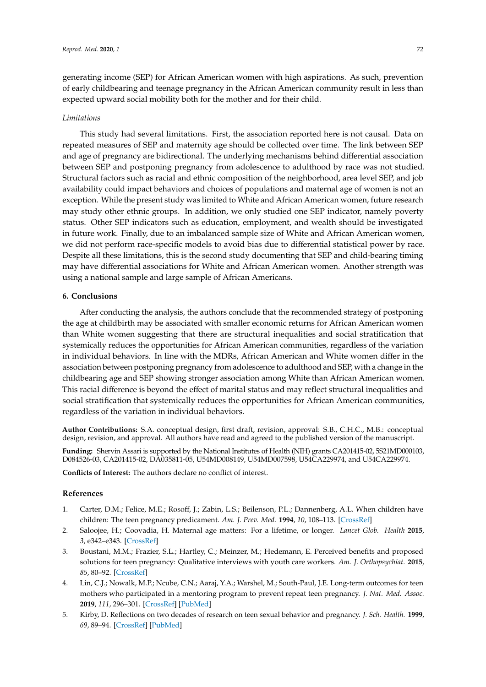generating income (SEP) for African American women with high aspirations. As such, prevention of early childbearing and teenage pregnancy in the African American community result in less than expected upward social mobility both for the mother and for their child.

#### *Limitations*

This study had several limitations. First, the association reported here is not causal. Data on repeated measures of SEP and maternity age should be collected over time. The link between SEP and age of pregnancy are bidirectional. The underlying mechanisms behind differential association between SEP and postponing pregnancy from adolescence to adulthood by race was not studied. Structural factors such as racial and ethnic composition of the neighborhood, area level SEP, and job availability could impact behaviors and choices of populations and maternal age of women is not an exception. While the present study was limited to White and African American women, future research may study other ethnic groups. In addition, we only studied one SEP indicator, namely poverty status. Other SEP indicators such as education, employment, and wealth should be investigated in future work. Finally, due to an imbalanced sample size of White and African American women, we did not perform race-specific models to avoid bias due to differential statistical power by race. Despite all these limitations, this is the second study documenting that SEP and child-bearing timing may have differential associations for White and African American women. Another strength was using a national sample and large sample of African Americans.

## **6. Conclusions**

After conducting the analysis, the authors conclude that the recommended strategy of postponing the age at childbirth may be associated with smaller economic returns for African American women than White women suggesting that there are structural inequalities and social stratification that systemically reduces the opportunities for African American communities, regardless of the variation in individual behaviors. In line with the MDRs, African American and White women differ in the association between postponing pregnancy from adolescence to adulthood and SEP, with a change in the childbearing age and SEP showing stronger association among White than African American women. This racial difference is beyond the effect of marital status and may reflect structural inequalities and social stratification that systemically reduces the opportunities for African American communities, regardless of the variation in individual behaviors.

**Author Contributions:** S.A. conceptual design, first draft, revision, approval: S.B., C.H.C., M.B.: conceptual design, revision, and approval. All authors have read and agreed to the published version of the manuscript.

**Funding:** Shervin Assari is supported by the National Institutes of Health (NIH) grants CA201415-02, 5S21MD000103, D084526-03, CA201415-02, DA035811-05, U54MD008149, U54MD007598, U54CA229974, and U54CA229974.

**Conflicts of Interest:** The authors declare no conflict of interest.

#### **References**

- <span id="page-10-0"></span>1. Carter, D.M.; Felice, M.E.; Rosoff, J.; Zabin, L.S.; Beilenson, P.L.; Dannenberg, A.L. When children have children: The teen pregnancy predicament. *Am. J. Prev. Med.* **1994**, *10*, 108–113. [\[CrossRef\]](http://dx.doi.org/10.1016/S0749-3797(18)30627-5)
- <span id="page-10-1"></span>2. Saloojee, H.; Coovadia, H. Maternal age matters: For a lifetime, or longer. *Lancet Glob. Health* **2015**, *3*, e342–e343. [\[CrossRef\]](http://dx.doi.org/10.1016/S2214-109X(15)00034-0)
- <span id="page-10-2"></span>3. Boustani, M.M.; Frazier, S.L.; Hartley, C.; Meinzer, M.; Hedemann, E. Perceived benefits and proposed solutions for teen pregnancy: Qualitative interviews with youth care workers. *Am. J. Orthopsychiat.* **2015**, *85*, 80–92. [\[CrossRef\]](http://dx.doi.org/10.1037/ort0000040)
- <span id="page-10-3"></span>4. Lin, C.J.; Nowalk, M.P.; Ncube, C.N.; Aaraj, Y.A.; Warshel, M.; South-Paul, J.E. Long-term outcomes for teen mothers who participated in a mentoring program to prevent repeat teen pregnancy. *J. Nat. Med. Assoc.* **2019**, *111*, 296–301. [\[CrossRef\]](http://dx.doi.org/10.1016/j.jnma.2018.10.014) [\[PubMed\]](http://www.ncbi.nlm.nih.gov/pubmed/30449542)
- <span id="page-10-4"></span>5. Kirby, D. Reflections on two decades of research on teen sexual behavior and pregnancy. *J. Sch. Health.* **1999**, *69*, 89–94. [\[CrossRef\]](http://dx.doi.org/10.1111/j.1746-1561.1999.tb07214.x) [\[PubMed\]](http://www.ncbi.nlm.nih.gov/pubmed/10332643)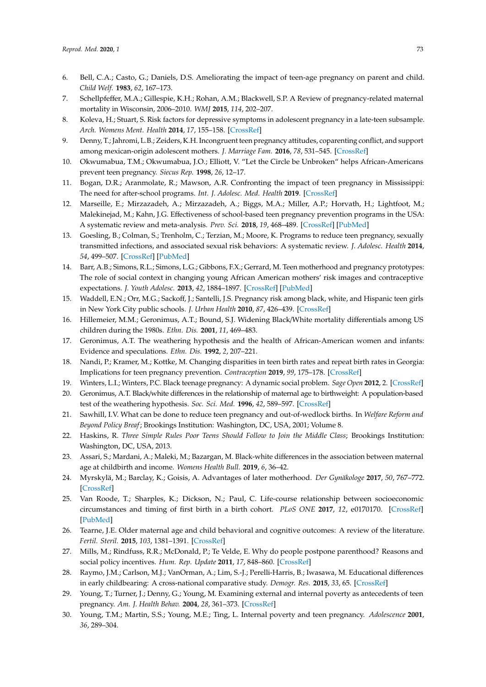- <span id="page-11-0"></span>6. Bell, C.A.; Casto, G.; Daniels, D.S. Ameliorating the impact of teen-age pregnancy on parent and child. *Child Welf.* **1983**, *62*, 167–173.
- <span id="page-11-1"></span>7. Schellpfeffer, M.A.; Gillespie, K.H.; Rohan, A.M.; Blackwell, S.P. A Review of pregnancy-related maternal mortality in Wisconsin, 2006–2010. *WMJ* **2015**, *114*, 202–207.
- <span id="page-11-2"></span>8. Koleva, H.; Stuart, S. Risk factors for depressive symptoms in adolescent pregnancy in a late-teen subsample. *Arch. Womens Ment. Health* **2014**, *17*, 155–158. [\[CrossRef\]](http://dx.doi.org/10.1007/s00737-013-0393-4)
- <span id="page-11-3"></span>9. Denny, T.; Jahromi, L.B.; Zeiders, K.H. Incongruent teen pregnancy attitudes, coparenting conflict, and support among mexican-origin adolescent mothers. *J. Marriage Fam.* **2016**, *78*, 531–545. [\[CrossRef\]](http://dx.doi.org/10.1111/jomf.12271)
- <span id="page-11-4"></span>10. Okwumabua, T.M.; Okwumabua, J.O.; Elliott, V. "Let the Circle be Unbroken" helps African-Americans prevent teen pregnancy. *Siecus Rep.* **1998**, *26*, 12–17.
- <span id="page-11-5"></span>11. Bogan, D.R.; Aranmolate, R.; Mawson, A.R. Confronting the impact of teen pregnancy in Mississippi: The need for after-school programs. *Int. J. Adolesc. Med. Health* **2019**. [\[CrossRef\]](http://dx.doi.org/10.1515/ijamh-2017-0210)
- <span id="page-11-6"></span>12. Marseille, E.; Mirzazadeh, A.; Mirzazadeh, A.; Biggs, M.A.; Miller, A.P.; Horvath, H.; Lightfoot, M.; Malekinejad, M.; Kahn, J.G. Effectiveness of school-based teen pregnancy prevention programs in the USA: A systematic review and meta-analysis. *Prev. Sci.* **2018**, *19*, 468–489. [\[CrossRef\]](http://dx.doi.org/10.1007/s11121-017-0861-6) [\[PubMed\]](http://www.ncbi.nlm.nih.gov/pubmed/29374797)
- <span id="page-11-7"></span>13. Goesling, B.; Colman, S.; Trenholm, C.; Terzian, M.; Moore, K. Programs to reduce teen pregnancy, sexually transmitted infections, and associated sexual risk behaviors: A systematic review. *J. Adolesc. Health* **2014**, *54*, 499–507. [\[CrossRef\]](http://dx.doi.org/10.1016/j.jadohealth.2013.12.004) [\[PubMed\]](http://www.ncbi.nlm.nih.gov/pubmed/24525227)
- <span id="page-11-8"></span>14. Barr, A.B.; Simons, R.L.; Simons, L.G.; Gibbons, F.X.; Gerrard, M. Teen motherhood and pregnancy prototypes: The role of social context in changing young African American mothers' risk images and contraceptive expectations. *J. Youth Adolesc.* **2013**, *42*, 1884–1897. [\[CrossRef\]](http://dx.doi.org/10.1007/s10964-013-9912-x) [\[PubMed\]](http://www.ncbi.nlm.nih.gov/pubmed/23354420)
- <span id="page-11-9"></span>15. Waddell, E.N.; Orr, M.G.; Sackoff, J.; Santelli, J.S. Pregnancy risk among black, white, and Hispanic teen girls in New York City public schools. *J. Urban Health* **2010**, *87*, 426–439. [\[CrossRef\]](http://dx.doi.org/10.1007/s11524-010-9454-4)
- <span id="page-11-10"></span>16. Hillemeier, M.M.; Geronimus, A.T.; Bound, S.J. Widening Black/White mortality differentials among US children during the 1980s. *Ethn. Dis.* **2001**, *11*, 469–483.
- <span id="page-11-11"></span>17. Geronimus, A.T. The weathering hypothesis and the health of African-American women and infants: Evidence and speculations. *Ethn. Dis.* **1992**, *2*, 207–221.
- <span id="page-11-12"></span>18. Nandi, P.; Kramer, M.; Kottke, M. Changing disparities in teen birth rates and repeat birth rates in Georgia: Implications for teen pregnancy prevention. *Contraception* **2019**, *99*, 175–178. [\[CrossRef\]](http://dx.doi.org/10.1016/j.contraception.2018.11.007)
- <span id="page-11-24"></span><span id="page-11-13"></span>19. Winters, L.I.; Winters, P.C. Black teenage pregnancy: A dynamic social problem. *Sage Open* **2012**, 2. [\[CrossRef\]](http://dx.doi.org/10.1177/2158244012436563)
- 20. Geronimus, A.T. Black/white differences in the relationship of maternal age to birthweight: A population-based test of the weathering hypothesis. *Soc. Sci. Med.* **1996**, *42*, 589–597. [\[CrossRef\]](http://dx.doi.org/10.1016/0277-9536(95)00159-X)
- <span id="page-11-14"></span>21. Sawhill, I.V. What can be done to reduce teen pregnancy and out-of-wedlock births. In *Welfare Reform and Beyond Policy Breaf*; Brookings Institution: Washington, DC, USA, 2001; Volume 8.
- <span id="page-11-15"></span>22. Haskins, R. *Three Simple Rules Poor Teens Should Follow to Join the Middle Class*; Brookings Institution: Washington, DC, USA, 2013.
- <span id="page-11-16"></span>23. Assari, S.; Mardani, A.; Maleki, M.; Bazargan, M. Black-white differences in the association between maternal age at childbirth and income. *Womens Health Bull.* **2019**, *6*, 36–42.
- <span id="page-11-17"></span>24. Myrskylä, M.; Barclay, K.; Goisis, A. Advantages of later motherhood. *Der Gynäkologe* **2017**, *50*, 767–772. [\[CrossRef\]](http://dx.doi.org/10.1007/s00129-017-4124-1)
- <span id="page-11-18"></span>25. Van Roode, T.; Sharples, K.; Dickson, N.; Paul, C. Life-course relationship between socioeconomic circumstances and timing of first birth in a birth cohort. *PLoS ONE* **2017**, *12*, e0170170. [\[CrossRef\]](http://dx.doi.org/10.1371/journal.pone.0170170) [\[PubMed\]](http://www.ncbi.nlm.nih.gov/pubmed/28085935)
- <span id="page-11-19"></span>26. Tearne, J.E. Older maternal age and child behavioral and cognitive outcomes: A review of the literature. *Fertil. Steril.* **2015**, *103*, 1381–1391. [\[CrossRef\]](http://dx.doi.org/10.1016/j.fertnstert.2015.04.027)
- <span id="page-11-20"></span>27. Mills, M.; Rindfuss, R.R.; McDonald, P.; Te Velde, E. Why do people postpone parenthood? Reasons and social policy incentives. *Hum. Rep. Update* **2011**, *17*, 848–860. [\[CrossRef\]](http://dx.doi.org/10.1093/humupd/dmr026)
- <span id="page-11-21"></span>28. Raymo, J.M.; Carlson, M.J.; VanOrman, A.; Lim, S.-J.; Perelli-Harris, B.; Iwasawa, M. Educational differences in early childbearing: A cross-national comparative study. *Demogr. Res.* **2015**, *33*, 65. [\[CrossRef\]](http://dx.doi.org/10.4054/DemRes.2015.33.3)
- <span id="page-11-22"></span>29. Young, T.; Turner, J.; Denny, G.; Young, M. Examining external and internal poverty as antecedents of teen pregnancy. *Am. J. Health Behav.* **2004**, *28*, 361–373. [\[CrossRef\]](http://dx.doi.org/10.5993/AJHB.28.4.8)
- <span id="page-11-23"></span>30. Young, T.M.; Martin, S.S.; Young, M.E.; Ting, L. Internal poverty and teen pregnancy. *Adolescence* **2001**, *36*, 289–304.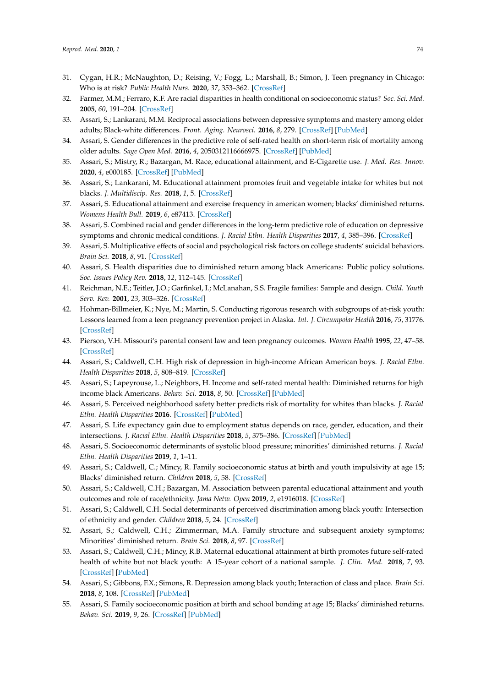- <span id="page-12-0"></span>31. Cygan, H.R.; McNaughton, D.; Reising, V.; Fogg, L.; Marshall, B.; Simon, J. Teen pregnancy in Chicago: Who is at risk? *Public Health Nurs.* **2020**, *37*, 353–362. [\[CrossRef\]](http://dx.doi.org/10.1111/phn.12726)
- <span id="page-12-1"></span>32. Farmer, M.M.; Ferraro, K.F. Are racial disparities in health conditional on socioeconomic status? *Soc. Sci. Med.* **2005**, *60*, 191–204. [\[CrossRef\]](http://dx.doi.org/10.1016/j.socscimed.2004.04.026)
- <span id="page-12-2"></span>33. Assari, S.; Lankarani, M.M. Reciprocal associations between depressive symptoms and mastery among older adults; Black-white differences. *Front. Aging. Neurosci.* **2016**, *8*, 279. [\[CrossRef\]](http://dx.doi.org/10.3389/fnagi.2016.00279) [\[PubMed\]](http://www.ncbi.nlm.nih.gov/pubmed/28105012)
- <span id="page-12-3"></span>34. Assari, S. Gender differences in the predictive role of self-rated health on short-term risk of mortality among older adults. *Sage Open Med.* **2016**, *4*, 2050312116666975. [\[CrossRef\]](http://dx.doi.org/10.1177/2050312116666975) [\[PubMed\]](http://www.ncbi.nlm.nih.gov/pubmed/27651902)
- <span id="page-12-4"></span>35. Assari, S.; Mistry, R.; Bazargan, M. Race, educational attainment, and E-Cigarette use. *J. Med. Res. Innov.* **2020**, *4*, e000185. [\[CrossRef\]](http://dx.doi.org/10.32892/jmri.185) [\[PubMed\]](http://www.ncbi.nlm.nih.gov/pubmed/32090188)
- <span id="page-12-5"></span>36. Assari, S.; Lankarani, M. Educational attainment promotes fruit and vegetable intake for whites but not blacks. *J. Multidiscip. Res.* **2018**, *1*, 5. [\[CrossRef\]](http://dx.doi.org/10.3390/j1010005)
- <span id="page-12-6"></span>37. Assari, S. Educational attainment and exercise frequency in american women; blacks' diminished returns. *Womens Health Bull.* **2019**, *6*, e87413. [\[CrossRef\]](http://dx.doi.org/10.5812/whb.87413)
- <span id="page-12-7"></span>38. Assari, S. Combined racial and gender differences in the long-term predictive role of education on depressive symptoms and chronic medical conditions. *J. Racial Ethn. Health Disparities* **2017**, *4*, 385–396. [\[CrossRef\]](http://dx.doi.org/10.1007/s40615-016-0239-7)
- <span id="page-12-8"></span>39. Assari, S. Multiplicative effects of social and psychological risk factors on college students' suicidal behaviors. *Brain Sci.* **2018**, *8*, 91. [\[CrossRef\]](http://dx.doi.org/10.3390/brainsci8050091)
- <span id="page-12-9"></span>40. Assari, S. Health disparities due to diminished return among black Americans: Public policy solutions. *Soc. Issues Policy Rev.* **2018**, *12*, 112–145. [\[CrossRef\]](http://dx.doi.org/10.1111/sipr.12042)
- <span id="page-12-10"></span>41. Reichman, N.E.; Teitler, J.O.; Garfinkel, I.; McLanahan, S.S. Fragile families: Sample and design. *Child. Youth Serv. Rev.* **2001**, *23*, 303–326. [\[CrossRef\]](http://dx.doi.org/10.1016/S0190-7409(01)00141-4)
- <span id="page-12-11"></span>42. Hohman-Billmeier, K.; Nye, M.; Martin, S. Conducting rigorous research with subgroups of at-risk youth: Lessons learned from a teen pregnancy prevention project in Alaska. *Int. J. Circumpolar Health* **2016**, *75*, 31776. [\[CrossRef\]](http://dx.doi.org/10.3402/ijch.v75.31776)
- <span id="page-12-12"></span>43. Pierson, V.H. Missouri's parental consent law and teen pregnancy outcomes. *Women Health* **1995**, *22*, 47–58. [\[CrossRef\]](http://dx.doi.org/10.1300/J013v22n03_04)
- <span id="page-12-13"></span>44. Assari, S.; Caldwell, C.H. High risk of depression in high-income African American boys. *J. Racial Ethn. Health Disparities* **2018**, *5*, 808–819. [\[CrossRef\]](http://dx.doi.org/10.1007/s40615-017-0426-1)
- <span id="page-12-14"></span>45. Assari, S.; Lapeyrouse, L.; Neighbors, H. Income and self-rated mental health: Diminished returns for high income black Americans. *Behav. Sci.* **2018**, *8*, 50. [\[CrossRef\]](http://dx.doi.org/10.3390/bs8050050) [\[PubMed\]](http://www.ncbi.nlm.nih.gov/pubmed/29772799)
- <span id="page-12-15"></span>46. Assari, S. Perceived neighborhood safety better predicts risk of mortality for whites than blacks. *J. Racial Ethn. Health Disparities* **2016**. [\[CrossRef\]](http://dx.doi.org/10.1007/s40615-016-0297-x) [\[PubMed\]](http://www.ncbi.nlm.nih.gov/pubmed/27822616)
- <span id="page-12-16"></span>47. Assari, S. Life expectancy gain due to employment status depends on race, gender, education, and their intersections. *J. Racial Ethn. Health Disparities* **2018**, *5*, 375–386. [\[CrossRef\]](http://dx.doi.org/10.1007/s40615-017-0381-x) [\[PubMed\]](http://www.ncbi.nlm.nih.gov/pubmed/28634876)
- <span id="page-12-17"></span>48. Assari, S. Socioeconomic determinants of systolic blood pressure; minorities' diminished returns. *J. Racial Ethn. Health Disparities* **2019**, *1*, 1–11.
- <span id="page-12-18"></span>49. Assari, S.; Caldwell, C.; Mincy, R. Family socioeconomic status at birth and youth impulsivity at age 15; Blacks' diminished return. *Children* **2018**, *5*, 58. [\[CrossRef\]](http://dx.doi.org/10.3390/children5050058)
- <span id="page-12-19"></span>50. Assari, S.; Caldwell, C.H.; Bazargan, M. Association between parental educational attainment and youth outcomes and role of race/ethnicity. *Jama Netw. Open* **2019**, *2*, e1916018. [\[CrossRef\]](http://dx.doi.org/10.1001/jamanetworkopen.2019.16018)
- <span id="page-12-20"></span>51. Assari, S.; Caldwell, C.H. Social determinants of perceived discrimination among black youth: Intersection of ethnicity and gender. *Children* **2018**, *5*, 24. [\[CrossRef\]](http://dx.doi.org/10.3390/children5020024)
- <span id="page-12-21"></span>52. Assari, S.; Caldwell, C.H.; Zimmerman, M.A. Family structure and subsequent anxiety symptoms; Minorities' diminished return. *Brain Sci.* **2018**, *8*, 97. [\[CrossRef\]](http://dx.doi.org/10.3390/brainsci8060097)
- <span id="page-12-22"></span>53. Assari, S.; Caldwell, C.H.; Mincy, R.B. Maternal educational attainment at birth promotes future self-rated health of white but not black youth: A 15-year cohort of a national sample. *J. Clin. Med.* **2018**, *7*, 93. [\[CrossRef\]](http://dx.doi.org/10.3390/jcm7050093) [\[PubMed\]](http://www.ncbi.nlm.nih.gov/pubmed/29723957)
- <span id="page-12-23"></span>54. Assari, S.; Gibbons, F.X.; Simons, R. Depression among black youth; Interaction of class and place. *Brain Sci.* **2018**, *8*, 108. [\[CrossRef\]](http://dx.doi.org/10.3390/brainsci8060108) [\[PubMed\]](http://www.ncbi.nlm.nih.gov/pubmed/29895752)
- <span id="page-12-24"></span>55. Assari, S. Family socioeconomic position at birth and school bonding at age 15; Blacks' diminished returns. *Behav. Sci.* **2019**, *9*, 26. [\[CrossRef\]](http://dx.doi.org/10.3390/bs9030026) [\[PubMed\]](http://www.ncbi.nlm.nih.gov/pubmed/30861987)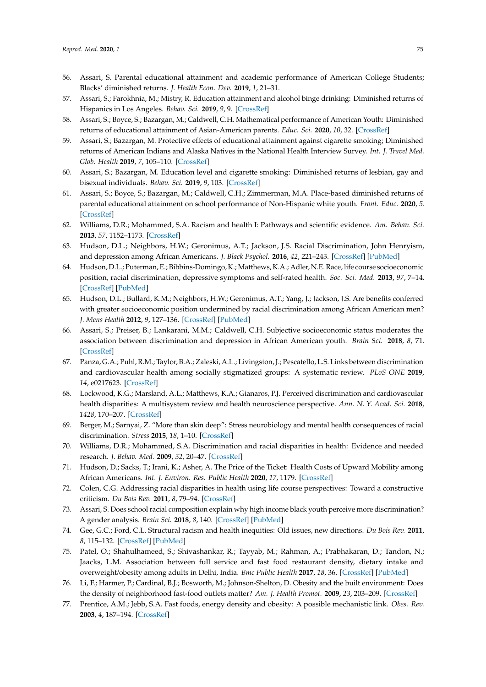- <span id="page-13-0"></span>56. Assari, S. Parental educational attainment and academic performance of American College Students; Blacks' diminished returns. *J. Health Econ. Dev.* **2019**, *1*, 21–31.
- <span id="page-13-1"></span>57. Assari, S.; Farokhnia, M.; Mistry, R. Education attainment and alcohol binge drinking: Diminished returns of Hispanics in Los Angeles. *Behav. Sci.* **2019**, *9*, 9. [\[CrossRef\]](http://dx.doi.org/10.3390/bs9010009)
- <span id="page-13-2"></span>58. Assari, S.; Boyce, S.; Bazargan, M.; Caldwell, C.H. Mathematical performance of American Youth: Diminished returns of educational attainment of Asian-American parents. *Educ. Sci.* **2020**, *10*, 32. [\[CrossRef\]](http://dx.doi.org/10.3390/educsci10020032)
- <span id="page-13-3"></span>59. Assari, S.; Bazargan, M. Protective effects of educational attainment against cigarette smoking; Diminished returns of American Indians and Alaska Natives in the National Health Interview Survey. *Int. J. Travel Med. Glob. Health* **2019**, *7*, 105–110. [\[CrossRef\]](http://dx.doi.org/10.15171/ijtmgh.2019.22)
- <span id="page-13-4"></span>60. Assari, S.; Bazargan, M. Education level and cigarette smoking: Diminished returns of lesbian, gay and bisexual individuals. *Behav. Sci.* **2019**, *9*, 103. [\[CrossRef\]](http://dx.doi.org/10.3390/bs9100103)
- <span id="page-13-5"></span>61. Assari, S.; Boyce, S.; Bazargan, M.; Caldwell, C.H.; Zimmerman, M.A. Place-based diminished returns of parental educational attainment on school performance of Non-Hispanic white youth. *Front. Educ.* **2020**, *5*. [\[CrossRef\]](http://dx.doi.org/10.3389/feduc.2020.00030)
- <span id="page-13-6"></span>62. Williams, D.R.; Mohammed, S.A. Racism and health I: Pathways and scientific evidence. *Am. Behav. Sci.* **2013**, *57*, 1152–1173. [\[CrossRef\]](http://dx.doi.org/10.1177/0002764213487340)
- <span id="page-13-7"></span>63. Hudson, D.L.; Neighbors, H.W.; Geronimus, A.T.; Jackson, J.S. Racial Discrimination, John Henryism, and depression among African Americans. *J. Black Psychol.* **2016**, *42*, 221–243. [\[CrossRef\]](http://dx.doi.org/10.1177/0095798414567757) [\[PubMed\]](http://www.ncbi.nlm.nih.gov/pubmed/27529626)
- 64. Hudson, D.L.; Puterman, E.; Bibbins-Domingo, K.; Matthews, K.A.; Adler, N.E. Race, life course socioeconomic position, racial discrimination, depressive symptoms and self-rated health. *Soc. Sci. Med.* **2013**, *97*, 7–14. [\[CrossRef\]](http://dx.doi.org/10.1016/j.socscimed.2013.07.031) [\[PubMed\]](http://www.ncbi.nlm.nih.gov/pubmed/24161083)
- <span id="page-13-8"></span>65. Hudson, D.L.; Bullard, K.M.; Neighbors, H.W.; Geronimus, A.T.; Yang, J.; Jackson, J.S. Are benefits conferred with greater socioeconomic position undermined by racial discrimination among African American men? *J. Mens Health* **2012**, *9*, 127–136. [\[CrossRef\]](http://dx.doi.org/10.1016/j.jomh.2012.03.006) [\[PubMed\]](http://www.ncbi.nlm.nih.gov/pubmed/22707995)
- <span id="page-13-9"></span>66. Assari, S.; Preiser, B.; Lankarani, M.M.; Caldwell, C.H. Subjective socioeconomic status moderates the association between discrimination and depression in African American youth. *Brain Sci.* **2018**, *8*, 71. [\[CrossRef\]](http://dx.doi.org/10.3390/brainsci8040071)
- <span id="page-13-10"></span>67. Panza, G.A.; Puhl, R.M.; Taylor, B.A.; Zaleski, A.L.; Livingston, J.; Pescatello, L.S. Links between discrimination and cardiovascular health among socially stigmatized groups: A systematic review. *PLoS ONE* **2019**, *14*, e0217623. [\[CrossRef\]](http://dx.doi.org/10.1371/journal.pone.0217623)
- 68. Lockwood, K.G.; Marsland, A.L.; Matthews, K.A.; Gianaros, P.J. Perceived discrimination and cardiovascular health disparities: A multisystem review and health neuroscience perspective. *Ann. N. Y. Acad. Sci.* **2018**, *1428*, 170–207. [\[CrossRef\]](http://dx.doi.org/10.1111/nyas.13939)
- 69. Berger, M.; Sarnyai, Z. "More than skin deep": Stress neurobiology and mental health consequences of racial discrimination. *Stress* **2015**, *18*, 1–10. [\[CrossRef\]](http://dx.doi.org/10.3109/10253890.2014.989204)
- <span id="page-13-11"></span>70. Williams, D.R.; Mohammed, S.A. Discrimination and racial disparities in health: Evidence and needed research. *J. Behav. Med.* **2009**, *32*, 20–47. [\[CrossRef\]](http://dx.doi.org/10.1007/s10865-008-9185-0)
- <span id="page-13-12"></span>71. Hudson, D.; Sacks, T.; Irani, K.; Asher, A. The Price of the Ticket: Health Costs of Upward Mobility among African Americans. *Int. J. Environ. Res. Public Health* **2020**, *17*, 1179. [\[CrossRef\]](http://dx.doi.org/10.3390/ijerph17041179)
- <span id="page-13-13"></span>72. Colen, C.G. Addressing racial disparities in health using life course perspectives: Toward a constructive criticism. *Du Bois Rev.* **2011**, *8*, 79–94. [\[CrossRef\]](http://dx.doi.org/10.1017/S1742058X11000075)
- <span id="page-13-14"></span>73. Assari, S. Does school racial composition explain why high income black youth perceive more discrimination? A gender analysis. *Brain Sci.* **2018**, *8*, 140. [\[CrossRef\]](http://dx.doi.org/10.3390/brainsci8080140) [\[PubMed\]](http://www.ncbi.nlm.nih.gov/pubmed/30061476)
- <span id="page-13-15"></span>74. Gee, G.C.; Ford, C.L. Structural racism and health inequities: Old issues, new directions. *Du Bois Rev.* **2011**, *8*, 115–132. [\[CrossRef\]](http://dx.doi.org/10.1017/S1742058X11000130) [\[PubMed\]](http://www.ncbi.nlm.nih.gov/pubmed/25632292)
- <span id="page-13-16"></span>75. Patel, O.; Shahulhameed, S.; Shivashankar, R.; Tayyab, M.; Rahman, A.; Prabhakaran, D.; Tandon, N.; Jaacks, L.M. Association between full service and fast food restaurant density, dietary intake and overweight/obesity among adults in Delhi, India. *Bmc Public Health* **2017**, *18*, 36. [\[CrossRef\]](http://dx.doi.org/10.1186/s12889-017-4598-8) [\[PubMed\]](http://www.ncbi.nlm.nih.gov/pubmed/28724371)
- 76. Li, F.; Harmer, P.; Cardinal, B.J.; Bosworth, M.; Johnson-Shelton, D. Obesity and the built environment: Does the density of neighborhood fast-food outlets matter? *Am. J. Health Promot.* **2009**, *23*, 203–209. [\[CrossRef\]](http://dx.doi.org/10.4278/ajhp.071214133)
- <span id="page-13-17"></span>77. Prentice, A.M.; Jebb, S.A. Fast foods, energy density and obesity: A possible mechanistic link. *Obes. Rev.* **2003**, *4*, 187–194. [\[CrossRef\]](http://dx.doi.org/10.1046/j.1467-789X.2003.00117.x)